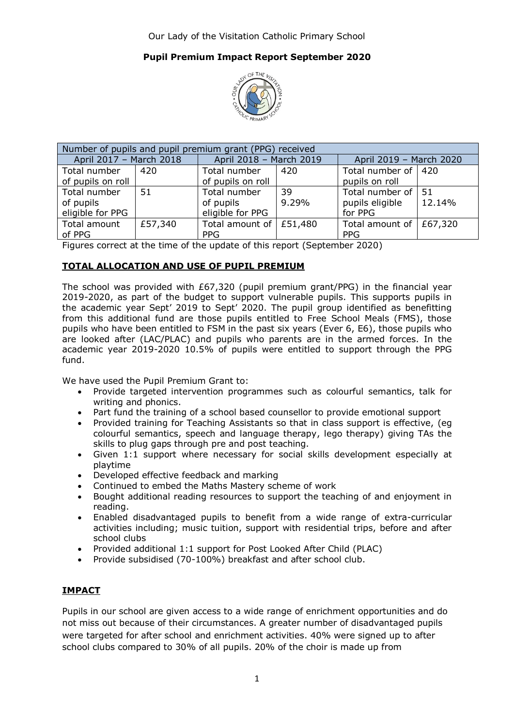## **Pupil Premium Impact Report September 2020**



| Number of pupils and pupil premium grant (PPG) received |         |                                 |       |                                 |        |  |  |  |
|---------------------------------------------------------|---------|---------------------------------|-------|---------------------------------|--------|--|--|--|
| April 2017 - March 2018                                 |         | April 2018 - March 2019         |       | April 2019 - March 2020         |        |  |  |  |
| Total number                                            | 420     | Total number                    | 420   | Total number of   420           |        |  |  |  |
| of pupils on roll                                       |         | of pupils on roll               |       | pupils on roll                  |        |  |  |  |
| Total number                                            | 51      | Total number                    | 39    | Total number of                 | -51    |  |  |  |
| of pupils                                               |         | of pupils                       | 9.29% | pupils eligible                 | 12.14% |  |  |  |
| eligible for PPG                                        |         | eligible for PPG                |       | for PPG                         |        |  |  |  |
| Total amount                                            | £57,340 | Total amount of $\vert$ £51,480 |       | Total amount of $\vert$ £67,320 |        |  |  |  |
| of PPG                                                  |         | <b>PPG</b>                      |       | <b>PPG</b>                      |        |  |  |  |

Figures correct at the time of the update of this report (September 2020)

### **TOTAL ALLOCATION AND USE OF PUPIL PREMIUM**

The school was provided with £67,320 (pupil premium grant/PPG) in the financial year 2019-2020, as part of the budget to support vulnerable pupils. This supports pupils in the academic year Sept' 2019 to Sept' 2020. The pupil group identified as benefitting from this additional fund are those pupils entitled to Free School Meals (FMS), those pupils who have been entitled to FSM in the past six years (Ever 6, E6), those pupils who are looked after (LAC/PLAC) and pupils who parents are in the armed forces. In the academic year 2019-2020 10.5% of pupils were entitled to support through the PPG fund.

We have used the Pupil Premium Grant to:

- Provide targeted intervention programmes such as colourful semantics, talk for writing and phonics.
- Part fund the training of a school based counsellor to provide emotional support
- Provided training for Teaching Assistants so that in class support is effective, (eg colourful semantics, speech and language therapy, lego therapy) giving TAs the skills to plug gaps through pre and post teaching.
- Given 1:1 support where necessary for social skills development especially at playtime
- Developed effective feedback and marking
- Continued to embed the Maths Mastery scheme of work
- Bought additional reading resources to support the teaching of and enjoyment in reading.
- Enabled disadvantaged pupils to benefit from a wide range of extra-curricular activities including; music tuition, support with residential trips, before and after school clubs
- Provided additional 1:1 support for Post Looked After Child (PLAC)
- Provide subsidised (70-100%) breakfast and after school club.

## **IMPACT**

Pupils in our school are given access to a wide range of enrichment opportunities and do not miss out because of their circumstances. A greater number of disadvantaged pupils were targeted for after school and enrichment activities. 40% were signed up to after school clubs compared to 30% of all pupils. 20% of the choir is made up from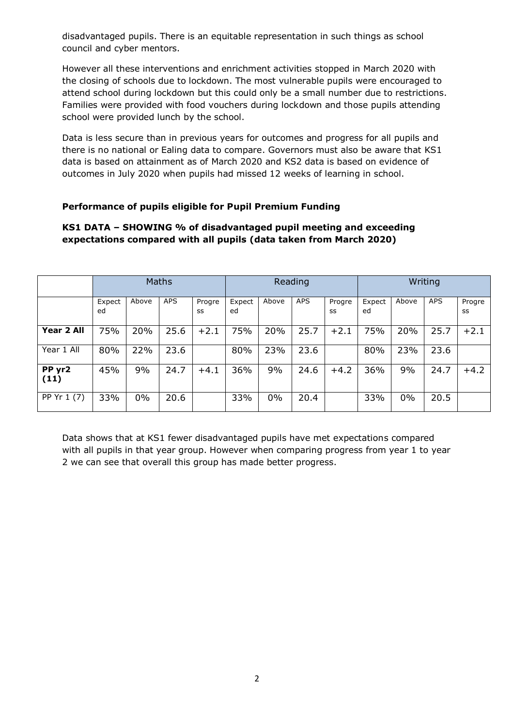disadvantaged pupils. There is an equitable representation in such things as school council and cyber mentors.

However all these interventions and enrichment activities stopped in March 2020 with the closing of schools due to lockdown. The most vulnerable pupils were encouraged to attend school during lockdown but this could only be a small number due to restrictions. Families were provided with food vouchers during lockdown and those pupils attending school were provided lunch by the school.

Data is less secure than in previous years for outcomes and progress for all pupils and there is no national or Ealing data to compare. Governors must also be aware that KS1 data is based on attainment as of March 2020 and KS2 data is based on evidence of outcomes in July 2020 when pupils had missed 12 weeks of learning in school.

#### **Performance of pupils eligible for Pupil Premium Funding**

#### **KS1 DATA – SHOWING % of disadvantaged pupil meeting and exceeding expectations compared with all pupils (data taken from March 2020)**

|                | <b>Maths</b> |       |            | Reading      |              |       | Writing    |              |              |       |            |              |
|----------------|--------------|-------|------------|--------------|--------------|-------|------------|--------------|--------------|-------|------------|--------------|
|                | Expect<br>ed | Above | <b>APS</b> | Progre<br>SS | Expect<br>ed | Above | <b>APS</b> | Progre<br>SS | Expect<br>ed | Above | <b>APS</b> | Progre<br>SS |
| Year 2 All     | 75%          | 20%   | 25.6       | $+2.1$       | 75%          | 20%   | 25.7       | $+2.1$       | 75%          | 20%   | 25.7       | $+2.1$       |
| Year 1 All     | 80%          | 22%   | 23.6       |              | 80%          | 23%   | 23.6       |              | 80%          | 23%   | 23.6       |              |
| PP yr2<br>(11) | 45%          | 9%    | 24.7       | $+4.1$       | 36%          | 9%    | 24.6       | $+4.2$       | 36%          | 9%    | 24.7       | $+4.2$       |
| PP Yr 1 (7)    | 33%          | 0%    | 20.6       |              | 33%          | $0\%$ | 20.4       |              | 33%          | 0%    | 20.5       |              |

Data shows that at KS1 fewer disadvantaged pupils have met expectations compared with all pupils in that year group. However when comparing progress from year 1 to year 2 we can see that overall this group has made better progress.